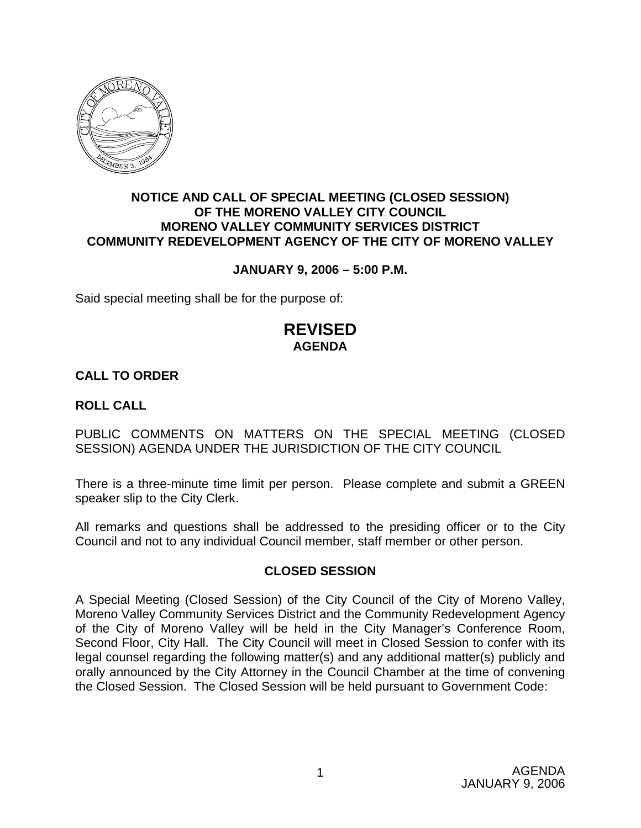

### **NOTICE AND CALL OF SPECIAL MEETING (CLOSED SESSION) OF THE MORENO VALLEY CITY COUNCIL MORENO VALLEY COMMUNITY SERVICES DISTRICT COMMUNITY REDEVELOPMENT AGENCY OF THE CITY OF MORENO VALLEY**

### **JANUARY 9, 2006 – 5:00 P.M.**

Said special meeting shall be for the purpose of:

## **REVISED AGENDA**

### **CALL TO ORDER**

### **ROLL CALL**

PUBLIC COMMENTS ON MATTERS ON THE SPECIAL MEETING (CLOSED SESSION) AGENDA UNDER THE JURISDICTION OF THE CITY COUNCIL

There is a three-minute time limit per person. Please complete and submit a GREEN speaker slip to the City Clerk.

All remarks and questions shall be addressed to the presiding officer or to the City Council and not to any individual Council member, staff member or other person.

### **CLOSED SESSION**

A Special Meeting (Closed Session) of the City Council of the City of Moreno Valley, Moreno Valley Community Services District and the Community Redevelopment Agency of the City of Moreno Valley will be held in the City Manager's Conference Room, Second Floor, City Hall. The City Council will meet in Closed Session to confer with its legal counsel regarding the following matter(s) and any additional matter(s) publicly and orally announced by the City Attorney in the Council Chamber at the time of convening the Closed Session. The Closed Session will be held pursuant to Government Code: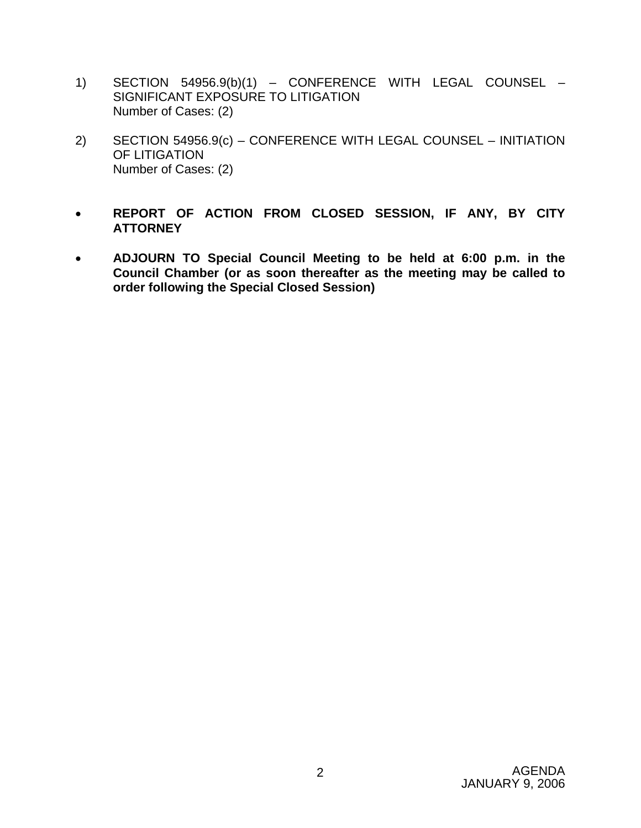- 1) SECTION 54956.9(b)(1) CONFERENCE WITH LEGAL COUNSEL SIGNIFICANT EXPOSURE TO LITIGATION Number of Cases: (2)
- 2) SECTION 54956.9(c) CONFERENCE WITH LEGAL COUNSEL INITIATION OF LITIGATION Number of Cases: (2)
- **REPORT OF ACTION FROM CLOSED SESSION, IF ANY, BY CITY ATTORNEY**
- **ADJOURN TO Special Council Meeting to be held at 6:00 p.m. in the Council Chamber (or as soon thereafter as the meeting may be called to order following the Special Closed Session)**